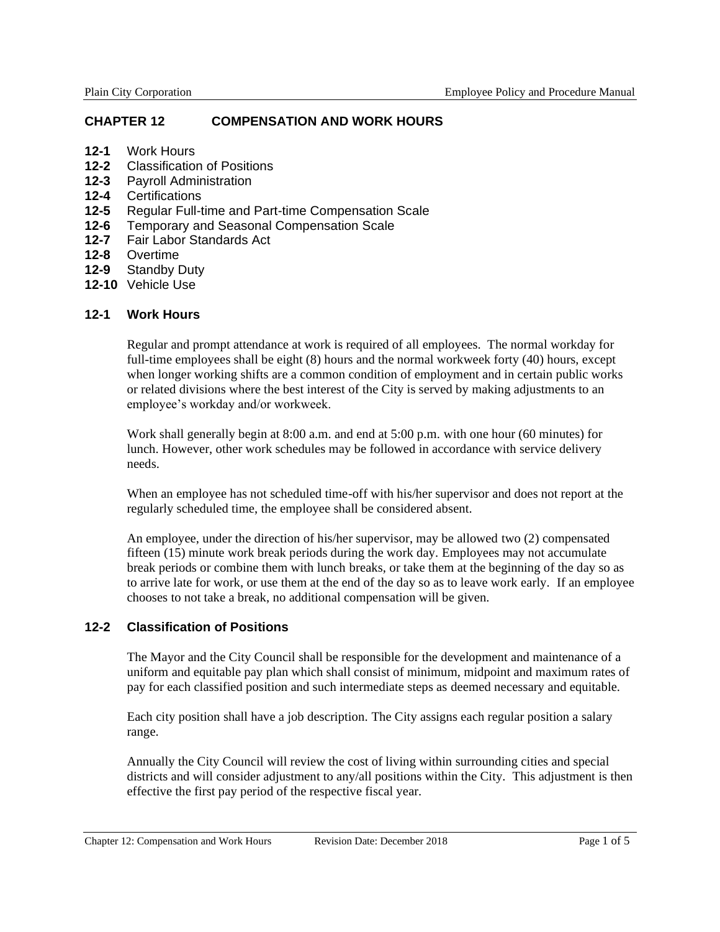# **CHAPTER 12 COMPENSATION AND WORK HOURS**

- **12-1** Work Hours
- **12-2** Classification of Positions
- **12-3** Payroll Administration
- **12-4** Certifications
- **12-5** Regular Full-time and Part-time Compensation Scale
- **12-6** Temporary and Seasonal Compensation Scale
- **12-7** Fair Labor Standards Act
- **12-8** Overtime
- **12-9** Standby Duty
- **12-10** Vehicle Use

## **12-1 Work Hours**

Regular and prompt attendance at work is required of all employees. The normal workday for full-time employees shall be eight (8) hours and the normal workweek forty (40) hours, except when longer working shifts are a common condition of employment and in certain public works or related divisions where the best interest of the City is served by making adjustments to an employee's workday and/or workweek.

Work shall generally begin at 8:00 a.m. and end at 5:00 p.m. with one hour (60 minutes) for lunch. However, other work schedules may be followed in accordance with service delivery needs.

When an employee has not scheduled time-off with his/her supervisor and does not report at the regularly scheduled time, the employee shall be considered absent.

An employee, under the direction of his/her supervisor, may be allowed two (2) compensated fifteen (15) minute work break periods during the work day. Employees may not accumulate break periods or combine them with lunch breaks, or take them at the beginning of the day so as to arrive late for work, or use them at the end of the day so as to leave work early. If an employee chooses to not take a break, no additional compensation will be given.

# **12-2 Classification of Positions**

The Mayor and the City Council shall be responsible for the development and maintenance of a uniform and equitable pay plan which shall consist of minimum, midpoint and maximum rates of pay for each classified position and such intermediate steps as deemed necessary and equitable.

Each city position shall have a job description. The City assigns each regular position a salary range.

Annually the City Council will review the cost of living within surrounding cities and special districts and will consider adjustment to any/all positions within the City. This adjustment is then effective the first pay period of the respective fiscal year.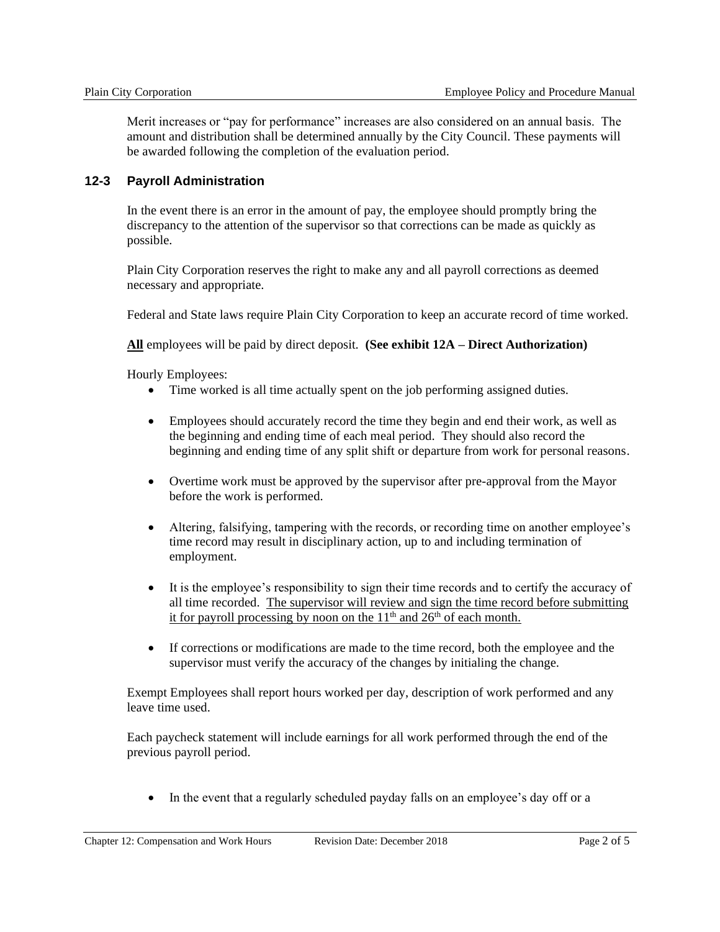Merit increases or "pay for performance" increases are also considered on an annual basis. The amount and distribution shall be determined annually by the City Council. These payments will be awarded following the completion of the evaluation period.

# **12-3 Payroll Administration**

In the event there is an error in the amount of pay, the employee should promptly bring the discrepancy to the attention of the supervisor so that corrections can be made as quickly as possible.

Plain City Corporation reserves the right to make any and all payroll corrections as deemed necessary and appropriate.

Federal and State laws require Plain City Corporation to keep an accurate record of time worked.

**All** employees will be paid by direct deposit. **(See exhibit 12A – Direct Authorization)**

Hourly Employees:

- Time worked is all time actually spent on the job performing assigned duties.
- Employees should accurately record the time they begin and end their work, as well as the beginning and ending time of each meal period. They should also record the beginning and ending time of any split shift or departure from work for personal reasons.
- Overtime work must be approved by the supervisor after pre-approval from the Mayor before the work is performed.
- Altering, falsifying, tampering with the records, or recording time on another employee's time record may result in disciplinary action, up to and including termination of employment.
- It is the employee's responsibility to sign their time records and to certify the accuracy of all time recorded. The supervisor will review and sign the time record before submitting it for payroll processing by noon on the  $11<sup>th</sup>$  and  $26<sup>th</sup>$  of each month.
- If corrections or modifications are made to the time record, both the employee and the supervisor must verify the accuracy of the changes by initialing the change.

Exempt Employees shall report hours worked per day, description of work performed and any leave time used.

Each paycheck statement will include earnings for all work performed through the end of the previous payroll period.

• In the event that a regularly scheduled payday falls on an employee's day off or a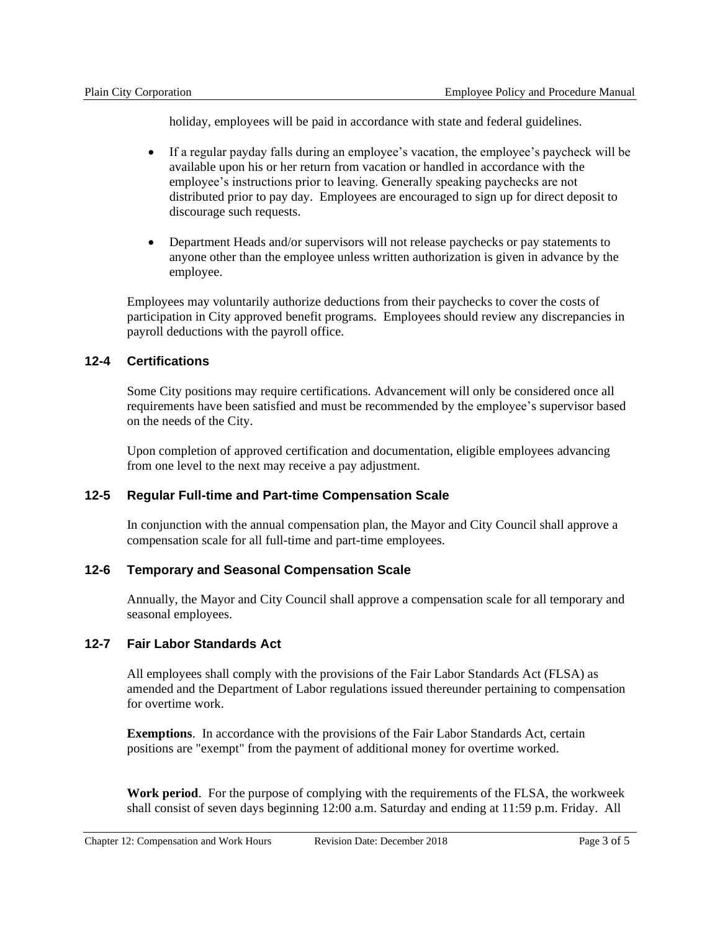holiday, employees will be paid in accordance with state and federal guidelines.

- If a regular payday falls during an employee's vacation, the employee's paycheck will be available upon his or her return from vacation or handled in accordance with the employee's instructions prior to leaving. Generally speaking paychecks are not distributed prior to pay day. Employees are encouraged to sign up for direct deposit to discourage such requests.
- Department Heads and/or supervisors will not release paychecks or pay statements to anyone other than the employee unless written authorization is given in advance by the employee.

Employees may voluntarily authorize deductions from their paychecks to cover the costs of participation in City approved benefit programs. Employees should review any discrepancies in payroll deductions with the payroll office.

## **12-4 Certifications**

Some City positions may require certifications. Advancement will only be considered once all requirements have been satisfied and must be recommended by the employee's supervisor based on the needs of the City.

Upon completion of approved certification and documentation, eligible employees advancing from one level to the next may receive a pay adjustment.

# **12-5 Regular Full-time and Part-time Compensation Scale**

In conjunction with the annual compensation plan, the Mayor and City Council shall approve a compensation scale for all full-time and part-time employees.

# **12-6 Temporary and Seasonal Compensation Scale**

Annually, the Mayor and City Council shall approve a compensation scale for all temporary and seasonal employees.

## **12-7 Fair Labor Standards Act**

All employees shall comply with the provisions of the Fair Labor Standards Act (FLSA) as amended and the Department of Labor regulations issued thereunder pertaining to compensation for overtime work.

**Exemptions**. In accordance with the provisions of the Fair Labor Standards Act, certain positions are "exempt" from the payment of additional money for overtime worked.

**Work period**. For the purpose of complying with the requirements of the FLSA, the workweek shall consist of seven days beginning 12:00 a.m. Saturday and ending at 11:59 p.m. Friday. All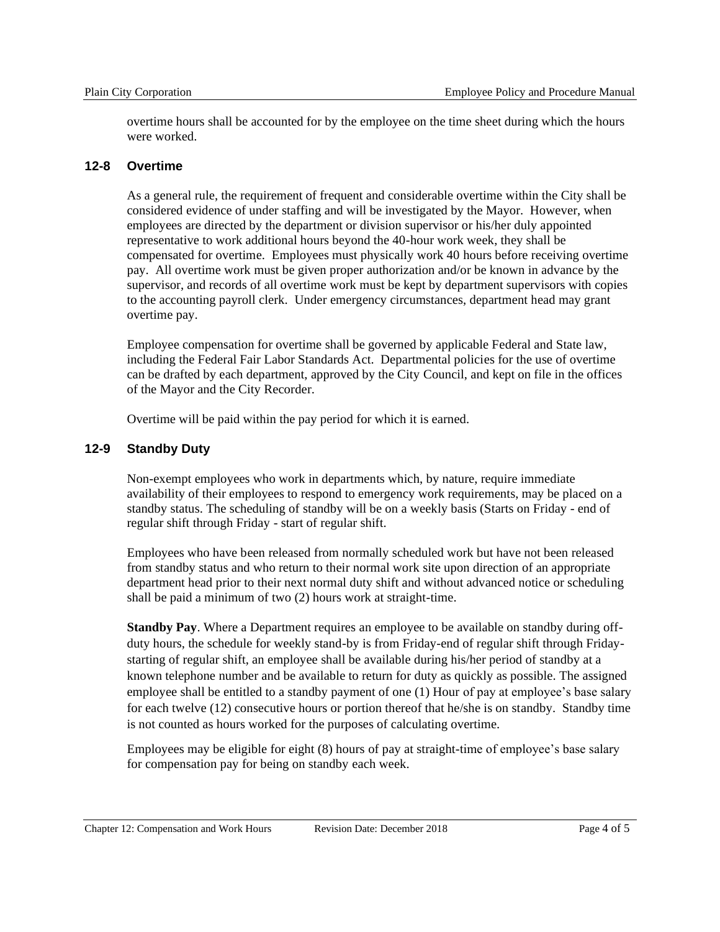overtime hours shall be accounted for by the employee on the time sheet during which the hours were worked.

#### **12-8 Overtime**

As a general rule, the requirement of frequent and considerable overtime within the City shall be considered evidence of under staffing and will be investigated by the Mayor. However, when employees are directed by the department or division supervisor or his/her duly appointed representative to work additional hours beyond the 40-hour work week, they shall be compensated for overtime. Employees must physically work 40 hours before receiving overtime pay.All overtime work must be given proper authorization and/or be known in advance by the supervisor, and records of all overtime work must be kept by department supervisors with copies to the accounting payroll clerk. Under emergency circumstances, department head may grant overtime pay.

Employee compensation for overtime shall be governed by applicable Federal and State law, including the Federal Fair Labor Standards Act. Departmental policies for the use of overtime can be drafted by each department, approved by the City Council, and kept on file in the offices of the Mayor and the City Recorder.

Overtime will be paid within the pay period for which it is earned.

## **12-9 Standby Duty**

Non-exempt employees who work in departments which, by nature, require immediate availability of their employees to respond to emergency work requirements, may be placed on a standby status. The scheduling of standby will be on a weekly basis (Starts on Friday - end of regular shift through Friday - start of regular shift.

Employees who have been released from normally scheduled work but have not been released from standby status and who return to their normal work site upon direction of an appropriate department head prior to their next normal duty shift and without advanced notice or scheduling shall be paid a minimum of two (2) hours work at straight-time.

**Standby Pay**. Where a Department requires an employee to be available on standby during offduty hours, the schedule for weekly stand-by is from Friday-end of regular shift through Fridaystarting of regular shift, an employee shall be available during his/her period of standby at a known telephone number and be available to return for duty as quickly as possible. The assigned employee shall be entitled to a standby payment of one (1) Hour of pay at employee's base salary for each twelve (12) consecutive hours or portion thereof that he/she is on standby. Standby time is not counted as hours worked for the purposes of calculating overtime.

Employees may be eligible for eight (8) hours of pay at straight-time of employee's base salary for compensation pay for being on standby each week.